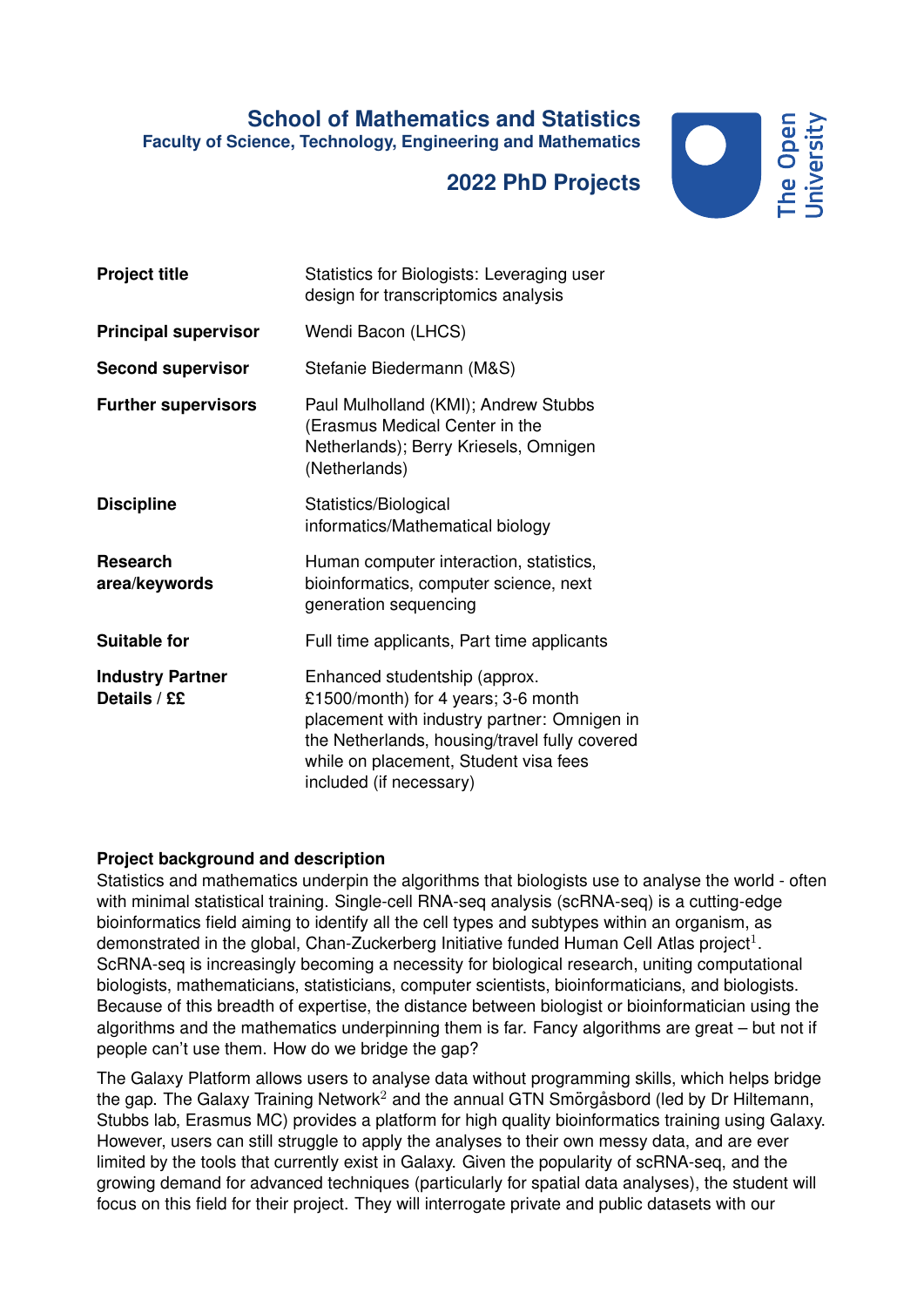## **School of Mathematics and Statistics Faculty of Science, Technology, Engineering and Mathematics**

## **2022 PhD Projects**



| <b>Project title</b>                    | Statistics for Biologists: Leveraging user<br>design for transcriptomics analysis                                                                                                                                                        |
|-----------------------------------------|------------------------------------------------------------------------------------------------------------------------------------------------------------------------------------------------------------------------------------------|
| <b>Principal supervisor</b>             | Wendi Bacon (LHCS)                                                                                                                                                                                                                       |
| <b>Second supervisor</b>                | Stefanie Biedermann (M&S)                                                                                                                                                                                                                |
| <b>Further supervisors</b>              | Paul Mulholland (KMI); Andrew Stubbs<br>(Erasmus Medical Center in the<br>Netherlands); Berry Kriesels, Omnigen<br>(Netherlands)                                                                                                         |
| <b>Discipline</b>                       | Statistics/Biological<br>informatics/Mathematical biology                                                                                                                                                                                |
| <b>Research</b><br>area/keywords        | Human computer interaction, statistics,<br>bioinformatics, computer science, next<br>generation sequencing                                                                                                                               |
| <b>Suitable for</b>                     | Full time applicants, Part time applicants                                                                                                                                                                                               |
| <b>Industry Partner</b><br>Details / ££ | Enhanced studentship (approx.<br>£1500/month) for 4 years; 3-6 month<br>placement with industry partner: Omnigen in<br>the Netherlands, housing/travel fully covered<br>while on placement, Student visa fees<br>included (if necessary) |

## **Project background and description**

Statistics and mathematics underpin the algorithms that biologists use to analyse the world - often with minimal statistical training. Single-cell RNA-seg analysis (scRNA-seg) is a cutting-edge bioinformatics field aiming to identify all the cell types and subtypes within an organism, as demonstrated in the global, Chan-Zuckerberg Initiative funded Human Cell Atlas project<sup>1</sup>. ScRNA-seq is increasingly becoming a necessity for biological research, uniting computational biologists, mathematicians, statisticians, computer scientists, bioinformaticians, and biologists. Because of this breadth of expertise, the distance between biologist or bioinformatician using the algorithms and the mathematics underpinning them is far. Fancy algorithms are great – but not if people can't use them. How do we bridge the gap?

The Galaxy Platform allows users to analyse data without programming skills, which helps bridge the gap. The Galaxy Training Network<sup>2</sup> and the annual GTN Smorg asbord (led by Dr Hiltemann, Stubbs lab, Erasmus MC) provides a platform for high quality bioinformatics training using Galaxy. However, users can still struggle to apply the analyses to their own messy data, and are ever limited by the tools that currently exist in Galaxy. Given the popularity of scRNA-seq, and the growing demand for advanced techniques (particularly for spatial data analyses), the student will focus on this field for their project. They will interrogate private and public datasets with our